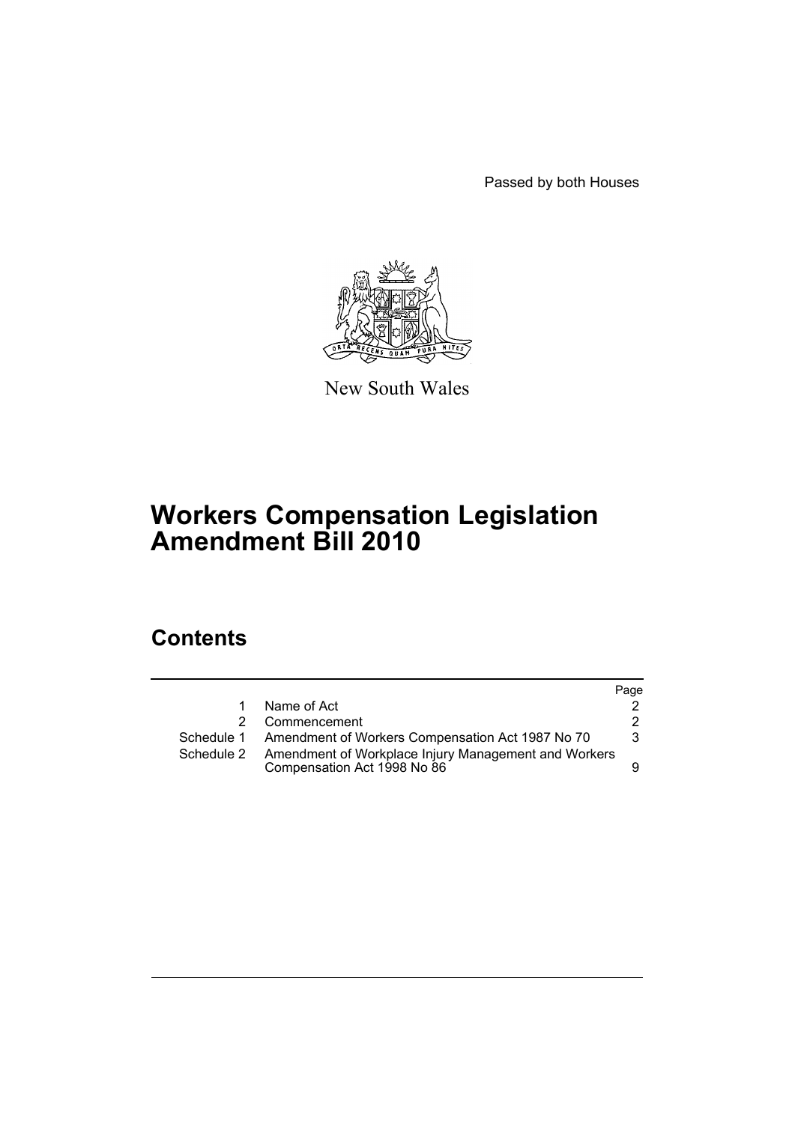Passed by both Houses



New South Wales

# **Workers Compensation Legislation Amendment Bill 2010**

# **Contents**

|            |                                                                                     | Page |
|------------|-------------------------------------------------------------------------------------|------|
| 1          | Name of Act                                                                         |      |
| 2.         | Commencement                                                                        | 2    |
|            | Schedule 1 Amendment of Workers Compensation Act 1987 No 70                         | 3    |
| Schedule 2 | Amendment of Workplace Injury Management and Workers<br>Compensation Act 1998 No 86 |      |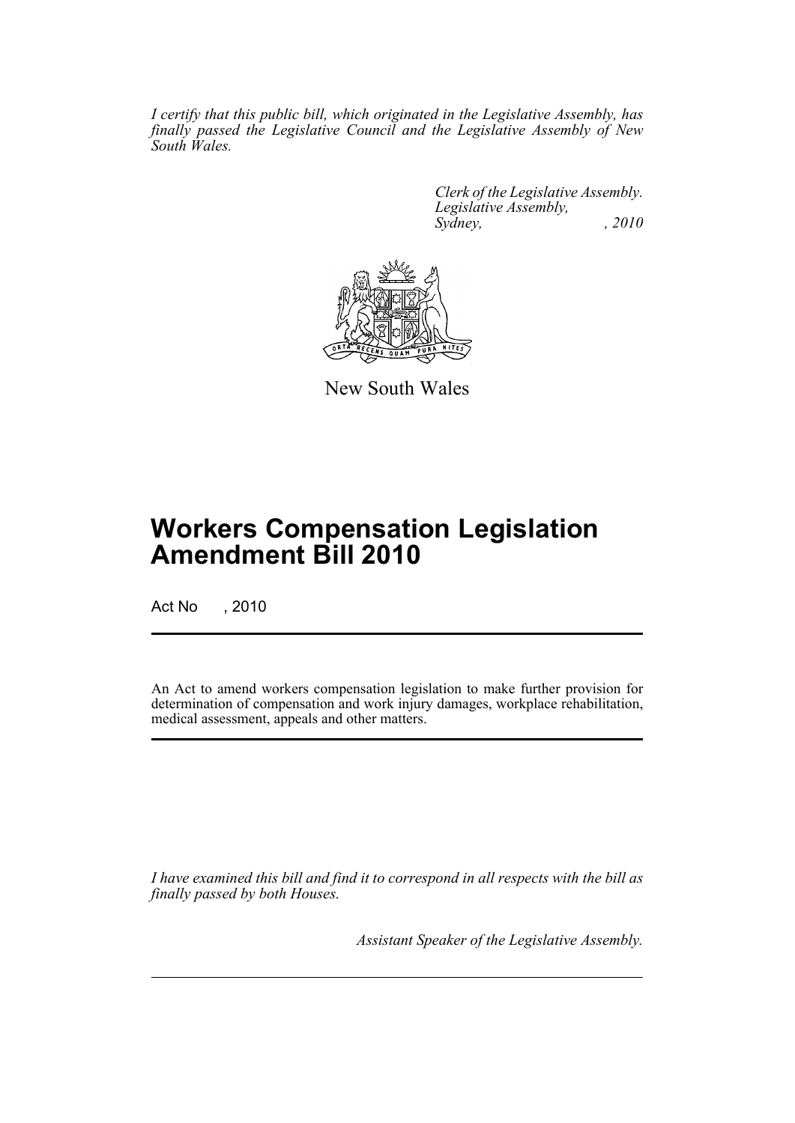*I certify that this public bill, which originated in the Legislative Assembly, has finally passed the Legislative Council and the Legislative Assembly of New South Wales.*

> *Clerk of the Legislative Assembly. Legislative Assembly, Sydney, , 2010*



New South Wales

# **Workers Compensation Legislation Amendment Bill 2010**

Act No , 2010

An Act to amend workers compensation legislation to make further provision for determination of compensation and work injury damages, workplace rehabilitation, medical assessment, appeals and other matters.

*I have examined this bill and find it to correspond in all respects with the bill as finally passed by both Houses.*

*Assistant Speaker of the Legislative Assembly.*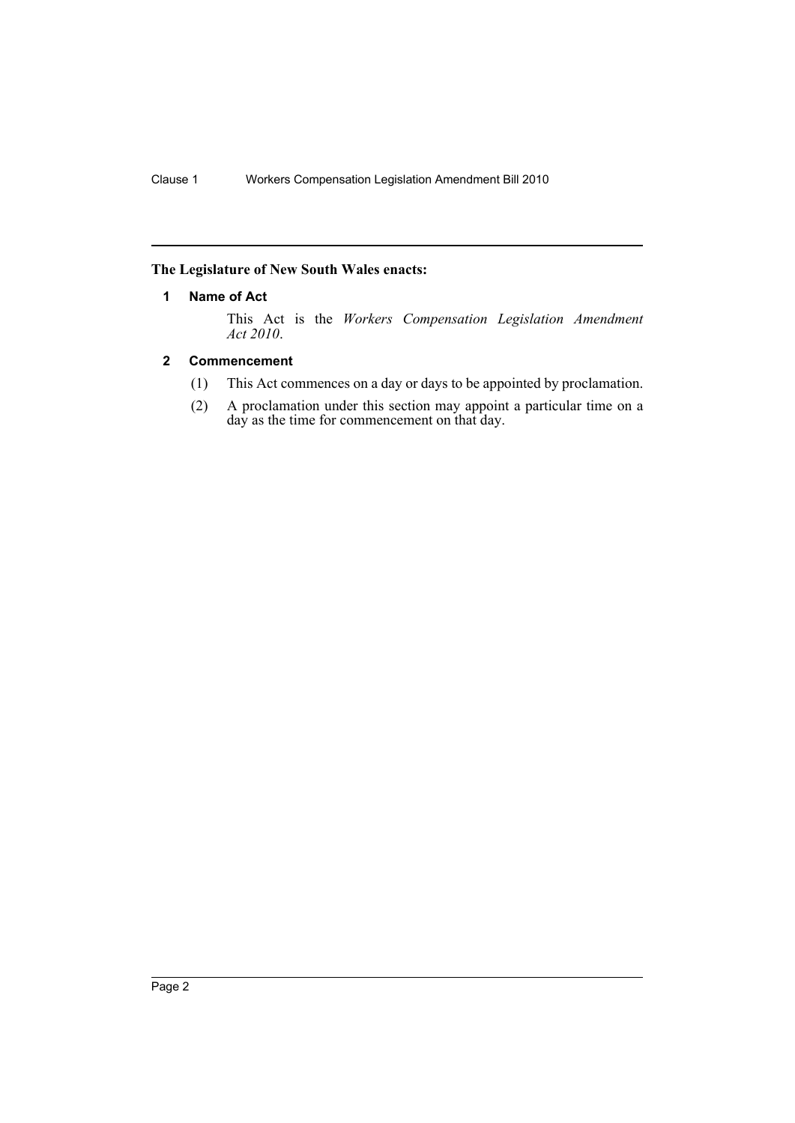# <span id="page-2-0"></span>**The Legislature of New South Wales enacts:**

### **1 Name of Act**

This Act is the *Workers Compensation Legislation Amendment Act 2010*.

# <span id="page-2-1"></span>**2 Commencement**

- (1) This Act commences on a day or days to be appointed by proclamation.
- (2) A proclamation under this section may appoint a particular time on a day as the time for commencement on that day.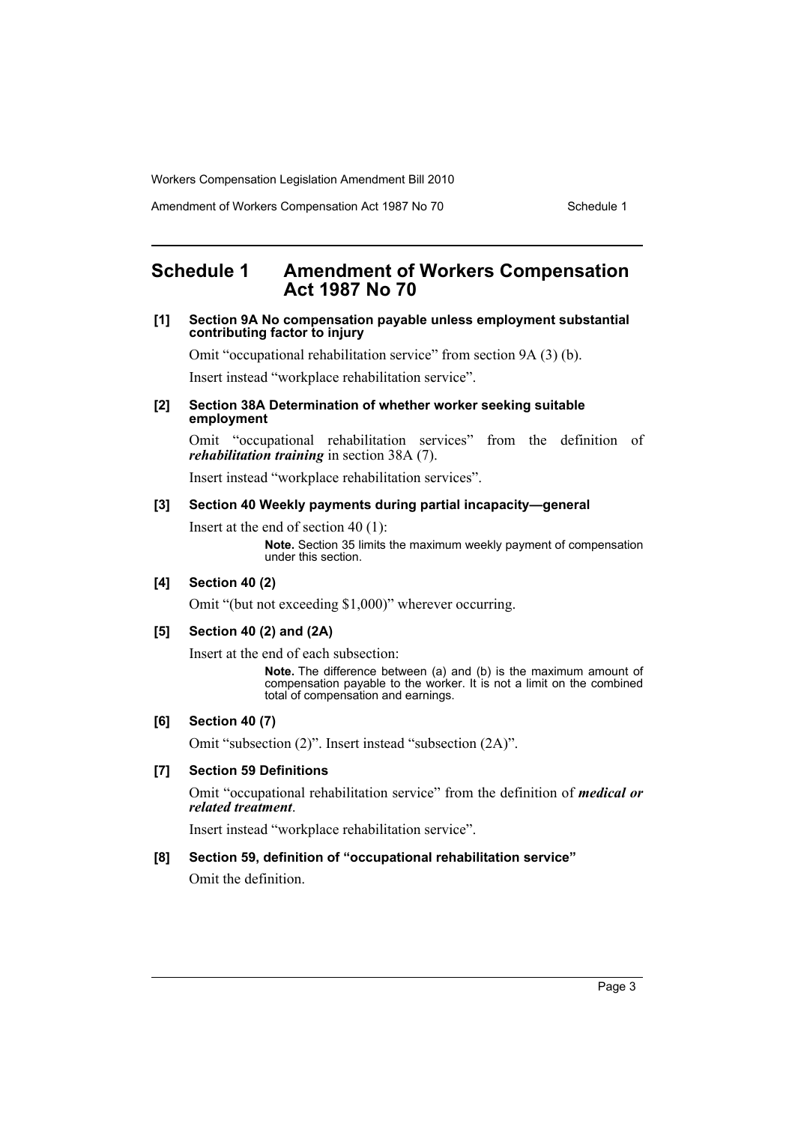Amendment of Workers Compensation Act 1987 No 70 Schedule 1

# <span id="page-3-0"></span>**Schedule 1 Amendment of Workers Compensation Act 1987 No 70**

#### **[1] Section 9A No compensation payable unless employment substantial contributing factor to injury**

Omit "occupational rehabilitation service" from section 9A (3) (b).

Insert instead "workplace rehabilitation service".

#### **[2] Section 38A Determination of whether worker seeking suitable employment**

Omit "occupational rehabilitation services" from the definition of *rehabilitation training* in section 38A (7).

Insert instead "workplace rehabilitation services".

#### **[3] Section 40 Weekly payments during partial incapacity—general**

Insert at the end of section 40 (1):

**Note.** Section 35 limits the maximum weekly payment of compensation under this section.

# **[4] Section 40 (2)**

Omit "(but not exceeding \$1,000)" wherever occurring.

# **[5] Section 40 (2) and (2A)**

Insert at the end of each subsection:

**Note.** The difference between (a) and (b) is the maximum amount of compensation payable to the worker. It is not a limit on the combined total of compensation and earnings.

# **[6] Section 40 (7)**

Omit "subsection (2)". Insert instead "subsection (2A)".

# **[7] Section 59 Definitions**

Omit "occupational rehabilitation service" from the definition of *medical or related treatment*.

Insert instead "workplace rehabilitation service".

#### **[8] Section 59, definition of "occupational rehabilitation service"**

Omit the definition.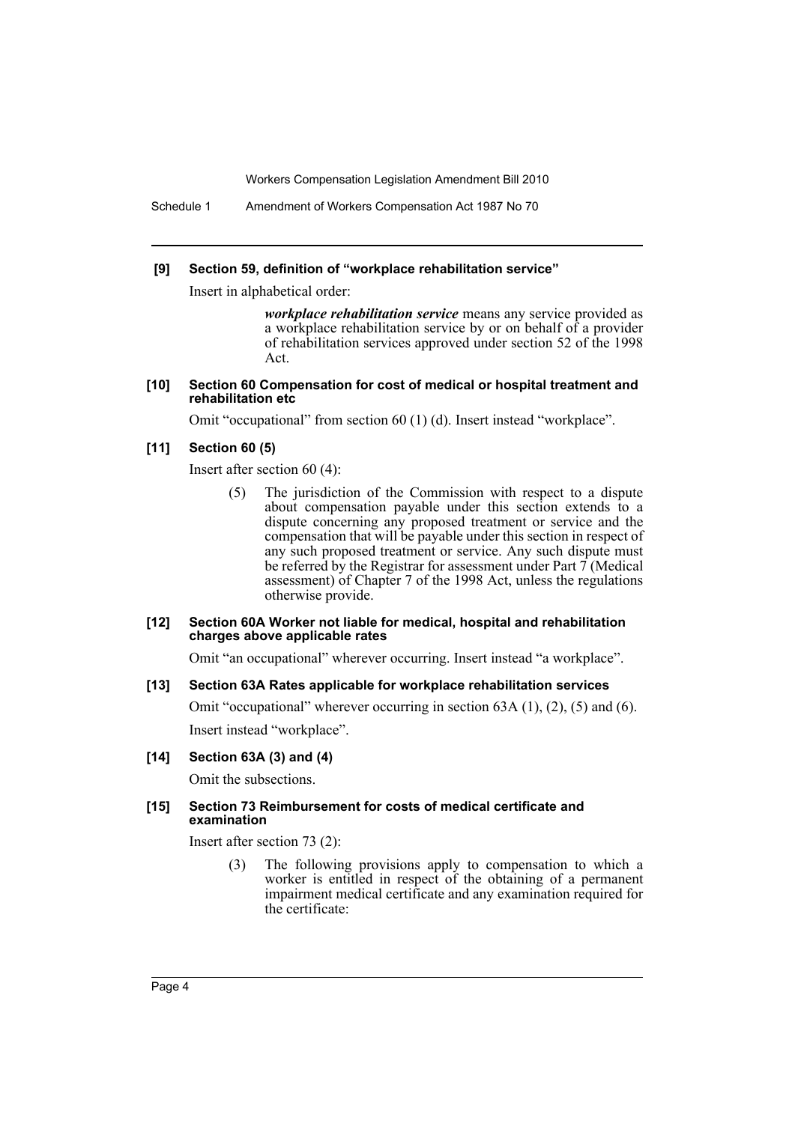Schedule 1 Amendment of Workers Compensation Act 1987 No 70

#### **[9] Section 59, definition of "workplace rehabilitation service"**

Insert in alphabetical order:

*workplace rehabilitation service* means any service provided as a workplace rehabilitation service by or on behalf of a provider of rehabilitation services approved under section 52 of the 1998 Act.

#### **[10] Section 60 Compensation for cost of medical or hospital treatment and rehabilitation etc**

Omit "occupational" from section 60 (1) (d). Insert instead "workplace".

## **[11] Section 60 (5)**

Insert after section 60 (4):

(5) The jurisdiction of the Commission with respect to a dispute about compensation payable under this section extends to a dispute concerning any proposed treatment or service and the compensation that will be payable under this section in respect of any such proposed treatment or service. Any such dispute must be referred by the Registrar for assessment under Part  $\bar{\tau}$  (Medical assessment) of Chapter 7 of the 1998 Act, unless the regulations otherwise provide.

#### **[12] Section 60A Worker not liable for medical, hospital and rehabilitation charges above applicable rates**

Omit "an occupational" wherever occurring. Insert instead "a workplace".

#### **[13] Section 63A Rates applicable for workplace rehabilitation services**

Omit "occupational" wherever occurring in section 63A (1), (2), (5) and (6). Insert instead "workplace".

#### **[14] Section 63A (3) and (4)**

Omit the subsections.

#### **[15] Section 73 Reimbursement for costs of medical certificate and examination**

Insert after section 73 (2):

(3) The following provisions apply to compensation to which a worker is entitled in respect of the obtaining of a permanent impairment medical certificate and any examination required for the certificate: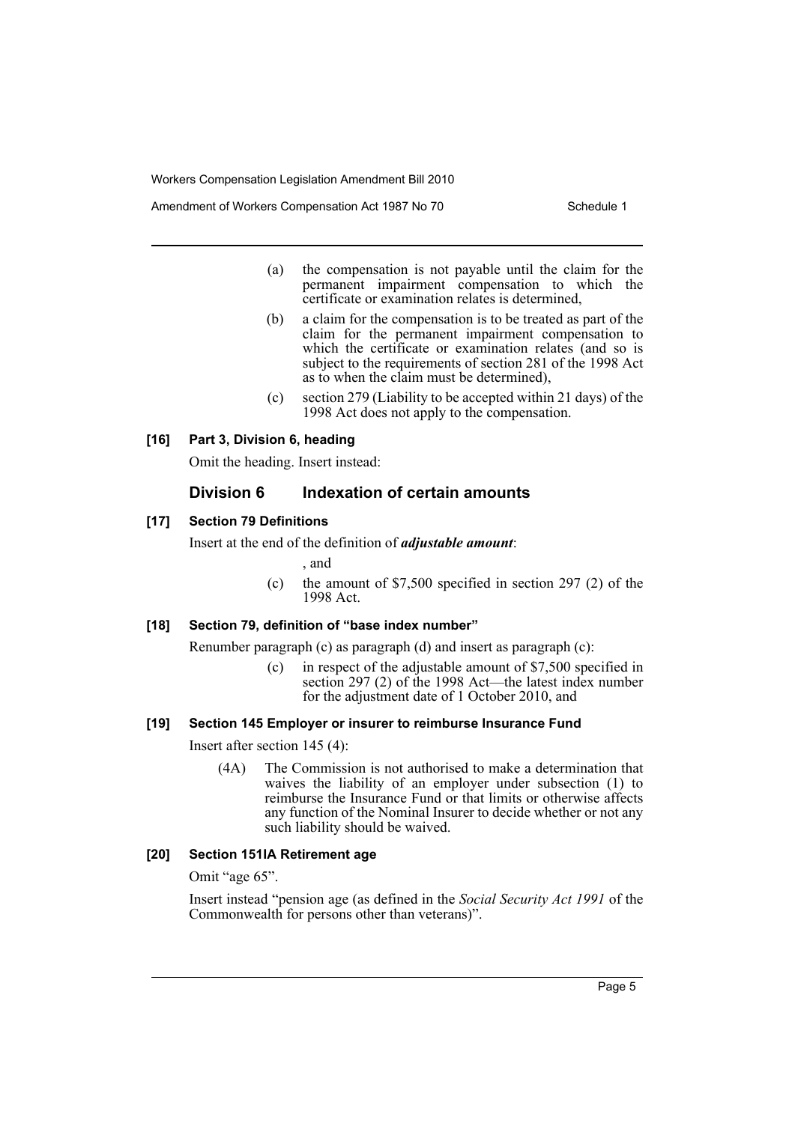Amendment of Workers Compensation Act 1987 No 70 Schedule 1

- (a) the compensation is not payable until the claim for the permanent impairment compensation to which the certificate or examination relates is determined,
- (b) a claim for the compensation is to be treated as part of the claim for the permanent impairment compensation to which the certificate or examination relates (and so is subject to the requirements of section 281 of the 1998 Act as to when the claim must be determined),
- (c) section 279 (Liability to be accepted within 21 days) of the 1998 Act does not apply to the compensation.

#### **[16] Part 3, Division 6, heading**

Omit the heading. Insert instead:

# **Division 6 Indexation of certain amounts**

### **[17] Section 79 Definitions**

Insert at the end of the definition of *adjustable amount*:

, and

(c) the amount of \$7,500 specified in section 297 (2) of the 1998 Act.

# **[18] Section 79, definition of "base index number"**

Renumber paragraph (c) as paragraph (d) and insert as paragraph (c):

(c) in respect of the adjustable amount of \$7,500 specified in section 297 (2) of the 1998 Act—the latest index number for the adjustment date of 1 October 2010, and

#### **[19] Section 145 Employer or insurer to reimburse Insurance Fund**

Insert after section 145 (4):

(4A) The Commission is not authorised to make a determination that waives the liability of an employer under subsection (1) to reimburse the Insurance Fund or that limits or otherwise affects any function of the Nominal Insurer to decide whether or not any such liability should be waived.

# **[20] Section 151IA Retirement age**

Omit "age 65".

Insert instead "pension age (as defined in the *Social Security Act 1991* of the Commonwealth for persons other than veterans)".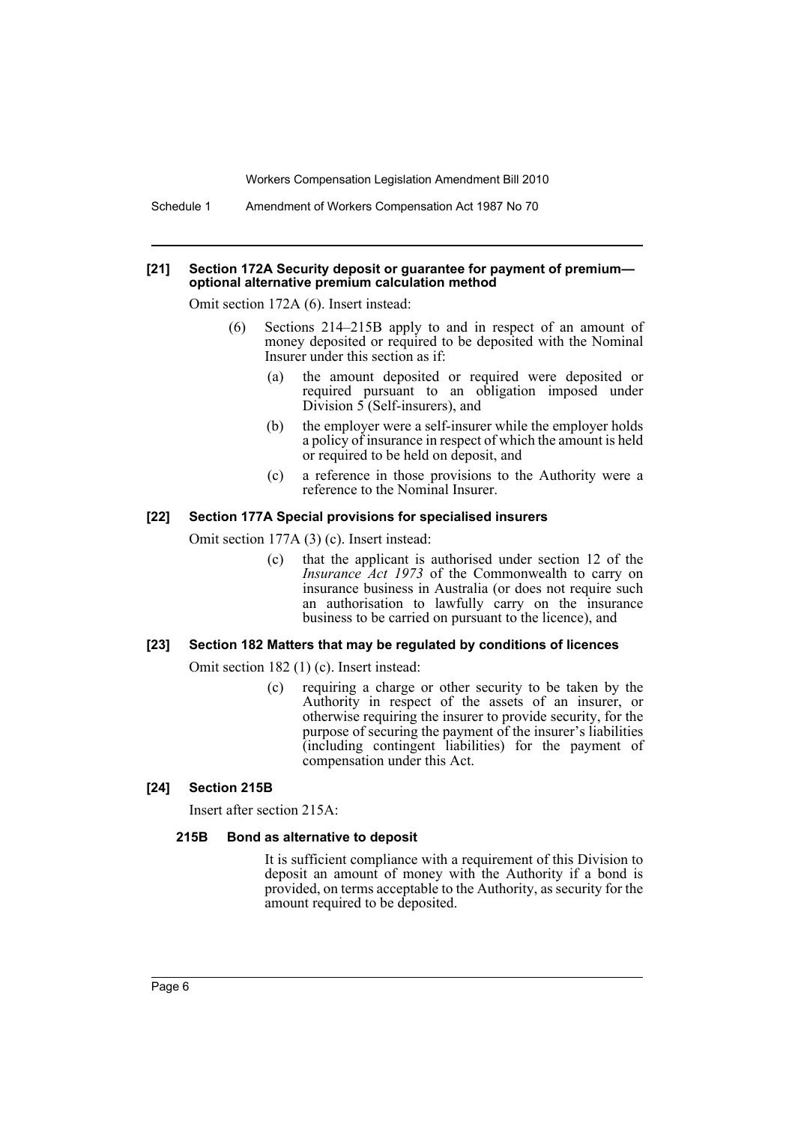Schedule 1 Amendment of Workers Compensation Act 1987 No 70

#### **[21] Section 172A Security deposit or guarantee for payment of premium optional alternative premium calculation method**

Omit section 172A (6). Insert instead:

- (6) Sections 214–215B apply to and in respect of an amount of money deposited or required to be deposited with the Nominal Insurer under this section as if:
	- (a) the amount deposited or required were deposited or required pursuant to an obligation imposed under Division  $5$  (Self-insurers), and
	- (b) the employer were a self-insurer while the employer holds a policy of insurance in respect of which the amount is held or required to be held on deposit, and
	- (c) a reference in those provisions to the Authority were a reference to the Nominal Insurer.

## **[22] Section 177A Special provisions for specialised insurers**

Omit section 177A (3) (c). Insert instead:

(c) that the applicant is authorised under section 12 of the *Insurance Act 1973* of the Commonwealth to carry on insurance business in Australia (or does not require such an authorisation to lawfully carry on the insurance business to be carried on pursuant to the licence), and

#### **[23] Section 182 Matters that may be regulated by conditions of licences**

Omit section 182 (1) (c). Insert instead:

(c) requiring a charge or other security to be taken by the Authority in respect of the assets of an insurer, or otherwise requiring the insurer to provide security, for the purpose of securing the payment of the insurer's liabilities (including contingent liabilities) for the payment of compensation under this Act.

#### **[24] Section 215B**

Insert after section 215A:

#### **215B Bond as alternative to deposit**

It is sufficient compliance with a requirement of this Division to deposit an amount of money with the Authority if a bond is provided, on terms acceptable to the Authority, as security for the amount required to be deposited.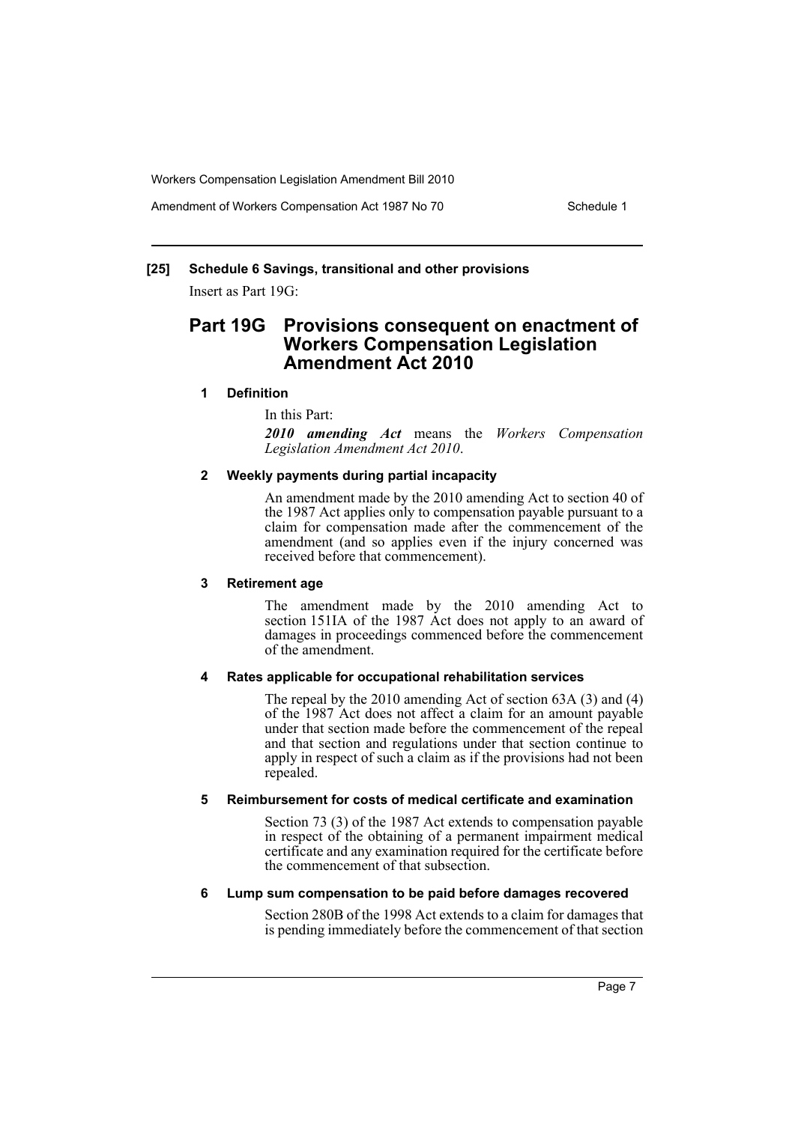Amendment of Workers Compensation Act 1987 No 70 Schedule 1

# **[25] Schedule 6 Savings, transitional and other provisions**

Insert as Part 19G:

# **Part 19G Provisions consequent on enactment of Workers Compensation Legislation Amendment Act 2010**

#### **1 Definition**

In this Part:

*2010 amending Act* means the *Workers Compensation Legislation Amendment Act 2010*.

### **2 Weekly payments during partial incapacity**

An amendment made by the 2010 amending Act to section 40 of the 1987 Act applies only to compensation payable pursuant to a claim for compensation made after the commencement of the amendment (and so applies even if the injury concerned was received before that commencement).

#### **3 Retirement age**

The amendment made by the 2010 amending Act to section 151IA of the 1987 Act does not apply to an award of damages in proceedings commenced before the commencement of the amendment.

# **4 Rates applicable for occupational rehabilitation services**

The repeal by the 2010 amending Act of section 63A (3) and (4) of the 1987 Act does not affect a claim for an amount payable under that section made before the commencement of the repeal and that section and regulations under that section continue to apply in respect of such a claim as if the provisions had not been repealed.

# **5 Reimbursement for costs of medical certificate and examination**

Section 73 (3) of the 1987 Act extends to compensation payable in respect of the obtaining of a permanent impairment medical certificate and any examination required for the certificate before the commencement of that subsection.

#### **6 Lump sum compensation to be paid before damages recovered**

Section 280B of the 1998 Act extends to a claim for damages that is pending immediately before the commencement of that section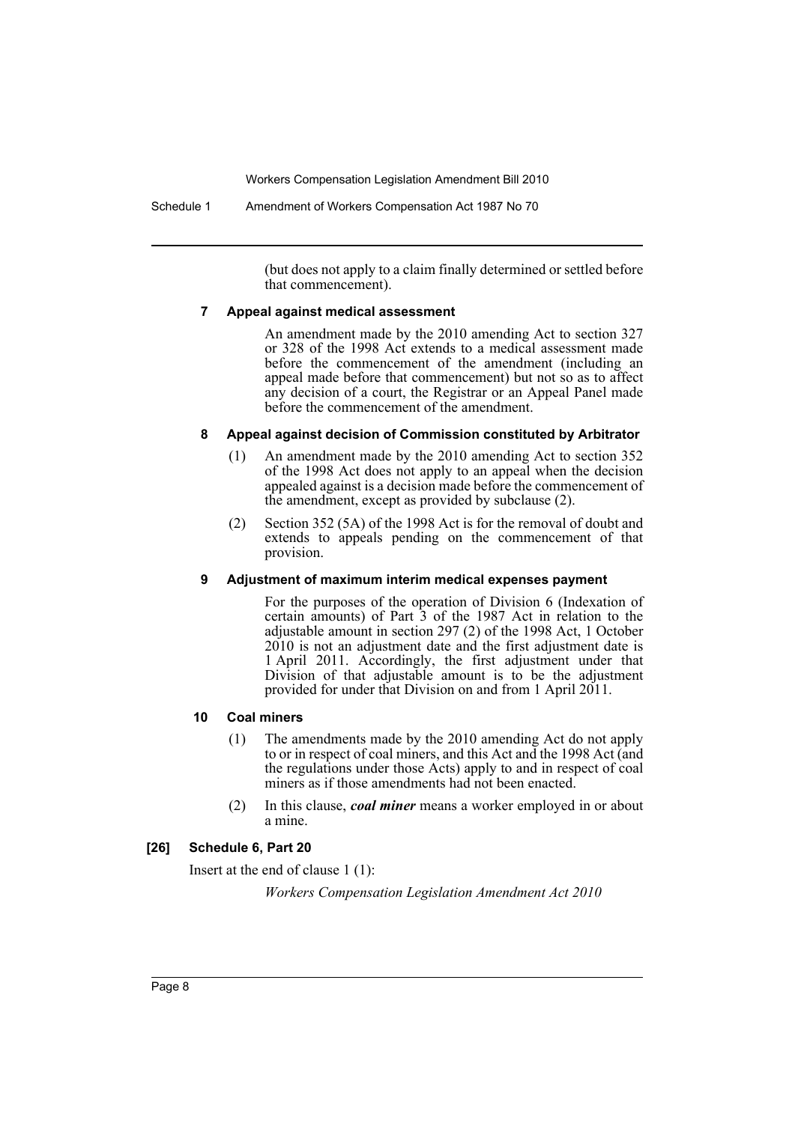Schedule 1 Amendment of Workers Compensation Act 1987 No 70

(but does not apply to a claim finally determined or settled before that commencement).

#### **7 Appeal against medical assessment**

An amendment made by the 2010 amending Act to section 327 or 328 of the 1998 Act extends to a medical assessment made before the commencement of the amendment (including an appeal made before that commencement) but not so as to affect any decision of a court, the Registrar or an Appeal Panel made before the commencement of the amendment.

### **8 Appeal against decision of Commission constituted by Arbitrator**

- (1) An amendment made by the 2010 amending Act to section 352 of the 1998 Act does not apply to an appeal when the decision appealed against is a decision made before the commencement of the amendment, except as provided by subclause (2).
- (2) Section 352 (5A) of the 1998 Act is for the removal of doubt and extends to appeals pending on the commencement of that provision.

# **9 Adjustment of maximum interim medical expenses payment**

For the purposes of the operation of Division 6 (Indexation of certain amounts) of Part 3 of the 1987 Act in relation to the adjustable amount in section 297 (2) of the 1998 Act, 1 October 2010 is not an adjustment date and the first adjustment date is 1 April 2011. Accordingly, the first adjustment under that Division of that adjustable amount is to be the adjustment provided for under that Division on and from 1 April 2011.

# **10 Coal miners**

- (1) The amendments made by the 2010 amending Act do not apply to or in respect of coal miners, and this Act and the 1998 Act (and the regulations under those Acts) apply to and in respect of coal miners as if those amendments had not been enacted.
- (2) In this clause, *coal miner* means a worker employed in or about a mine.

# **[26] Schedule 6, Part 20**

Insert at the end of clause 1 (1):

*Workers Compensation Legislation Amendment Act 2010*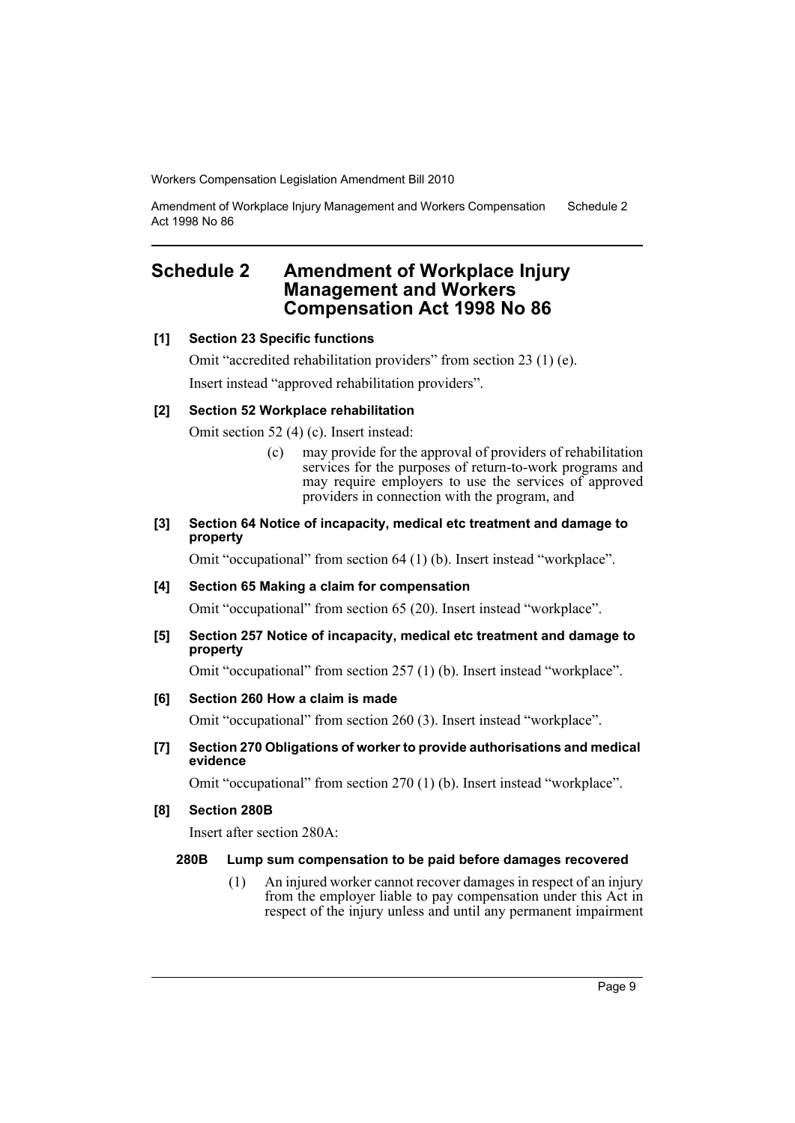Amendment of Workplace Injury Management and Workers Compensation Act 1998 No 86 Schedule 2

# <span id="page-9-0"></span>**Schedule 2 Amendment of Workplace Injury Management and Workers Compensation Act 1998 No 86**

### **[1] Section 23 Specific functions**

Omit "accredited rehabilitation providers" from section 23 (1) (e). Insert instead "approved rehabilitation providers".

# **[2] Section 52 Workplace rehabilitation**

Omit section 52 (4) (c). Insert instead:

(c) may provide for the approval of providers of rehabilitation services for the purposes of return-to-work programs and may require employers to use the services of approved providers in connection with the program, and

## **[3] Section 64 Notice of incapacity, medical etc treatment and damage to property**

Omit "occupational" from section 64 (1) (b). Insert instead "workplace".

# **[4] Section 65 Making a claim for compensation**

Omit "occupational" from section 65 (20). Insert instead "workplace".

### **[5] Section 257 Notice of incapacity, medical etc treatment and damage to property**

Omit "occupational" from section 257 (1) (b). Insert instead "workplace".

# **[6] Section 260 How a claim is made**

Omit "occupational" from section 260 (3). Insert instead "workplace".

**[7] Section 270 Obligations of worker to provide authorisations and medical evidence**

Omit "occupational" from section 270 (1) (b). Insert instead "workplace".

## **[8] Section 280B**

Insert after section 280A:

#### **280B Lump sum compensation to be paid before damages recovered**

(1) An injured worker cannot recover damages in respect of an injury from the employer liable to pay compensation under this Act in respect of the injury unless and until any permanent impairment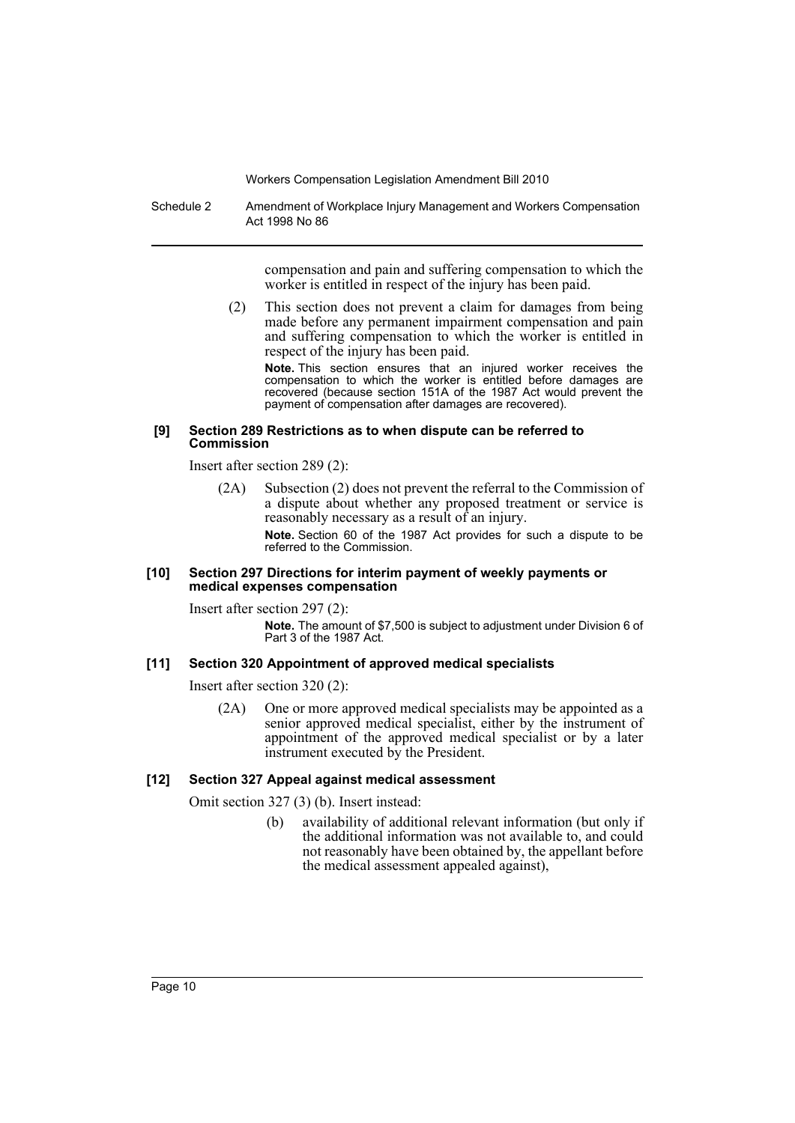Schedule 2 Amendment of Workplace Injury Management and Workers Compensation Act 1998 No 86

> compensation and pain and suffering compensation to which the worker is entitled in respect of the injury has been paid.

(2) This section does not prevent a claim for damages from being made before any permanent impairment compensation and pain and suffering compensation to which the worker is entitled in respect of the injury has been paid.

**Note.** This section ensures that an injured worker receives the compensation to which the worker is entitled before damages are recovered (because section 151A of the 1987 Act would prevent the payment of compensation after damages are recovered).

#### **[9] Section 289 Restrictions as to when dispute can be referred to Commission**

Insert after section 289 (2):

(2A) Subsection (2) does not prevent the referral to the Commission of a dispute about whether any proposed treatment or service is reasonably necessary as a result of an injury. **Note.** Section 60 of the 1987 Act provides for such a dispute to be referred to the Commission.

#### **[10] Section 297 Directions for interim payment of weekly payments or medical expenses compensation**

Insert after section 297 (2):

**Note.** The amount of \$7,500 is subject to adjustment under Division 6 of Part 3 of the 1987 Act.

# **[11] Section 320 Appointment of approved medical specialists**

Insert after section 320 (2):

(2A) One or more approved medical specialists may be appointed as a senior approved medical specialist, either by the instrument of appointment of the approved medical specialist or by a later instrument executed by the President.

# **[12] Section 327 Appeal against medical assessment**

Omit section 327 (3) (b). Insert instead:

(b) availability of additional relevant information (but only if the additional information was not available to, and could not reasonably have been obtained by, the appellant before the medical assessment appealed against),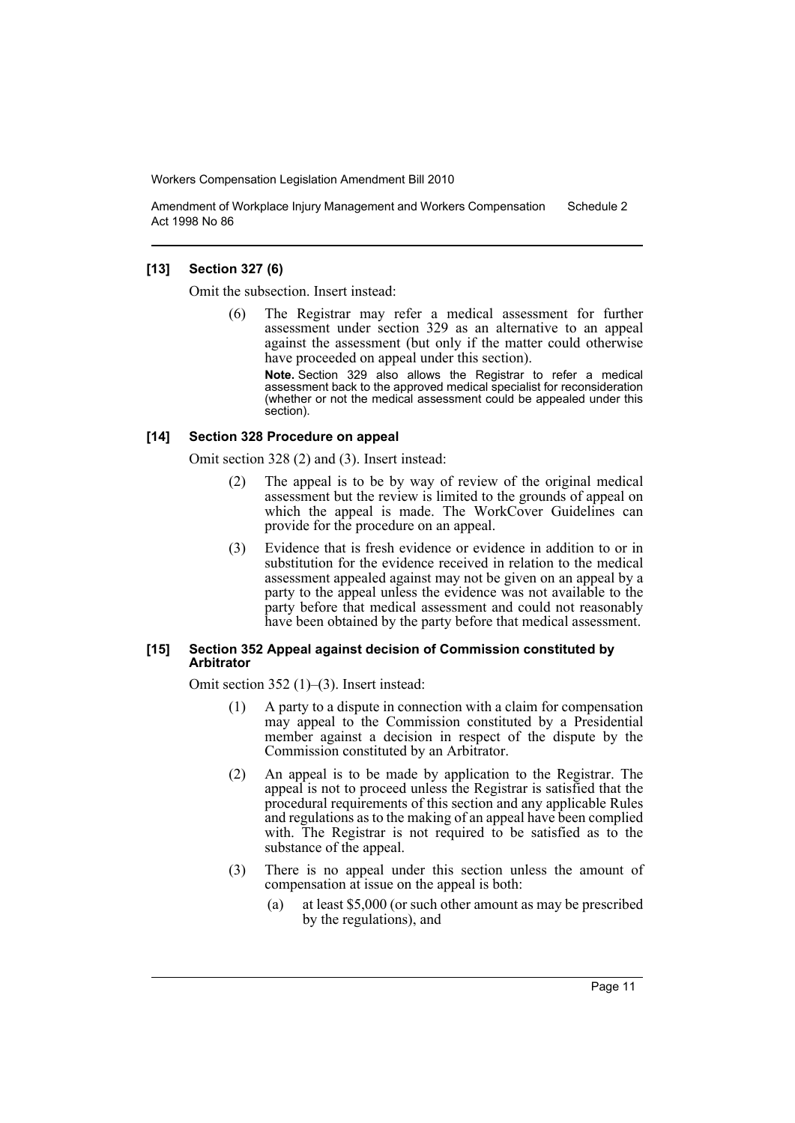Amendment of Workplace Injury Management and Workers Compensation Act 1998 No 86 Schedule 2

### **[13] Section 327 (6)**

Omit the subsection. Insert instead:

The Registrar may refer a medical assessment for further assessment under section 329 as an alternative to an appeal against the assessment (but only if the matter could otherwise have proceeded on appeal under this section). **Note.** Section 329 also allows the Registrar to refer a medical

assessment back to the approved medical specialist for reconsideration (whether or not the medical assessment could be appealed under this section).

### **[14] Section 328 Procedure on appeal**

Omit section 328 (2) and (3). Insert instead:

- (2) The appeal is to be by way of review of the original medical assessment but the review is limited to the grounds of appeal on which the appeal is made. The WorkCover Guidelines can provide for the procedure on an appeal.
- (3) Evidence that is fresh evidence or evidence in addition to or in substitution for the evidence received in relation to the medical assessment appealed against may not be given on an appeal by a party to the appeal unless the evidence was not available to the party before that medical assessment and could not reasonably have been obtained by the party before that medical assessment.

#### **[15] Section 352 Appeal against decision of Commission constituted by Arbitrator**

Omit section 352 (1)–(3). Insert instead:

- (1) A party to a dispute in connection with a claim for compensation may appeal to the Commission constituted by a Presidential member against a decision in respect of the dispute by the Commission constituted by an Arbitrator.
- (2) An appeal is to be made by application to the Registrar. The appeal is not to proceed unless the Registrar is satisfied that the procedural requirements of this section and any applicable Rules and regulations as to the making of an appeal have been complied with. The Registrar is not required to be satisfied as to the substance of the appeal.
- (3) There is no appeal under this section unless the amount of compensation at issue on the appeal is both:
	- (a) at least \$5,000 (or such other amount as may be prescribed by the regulations), and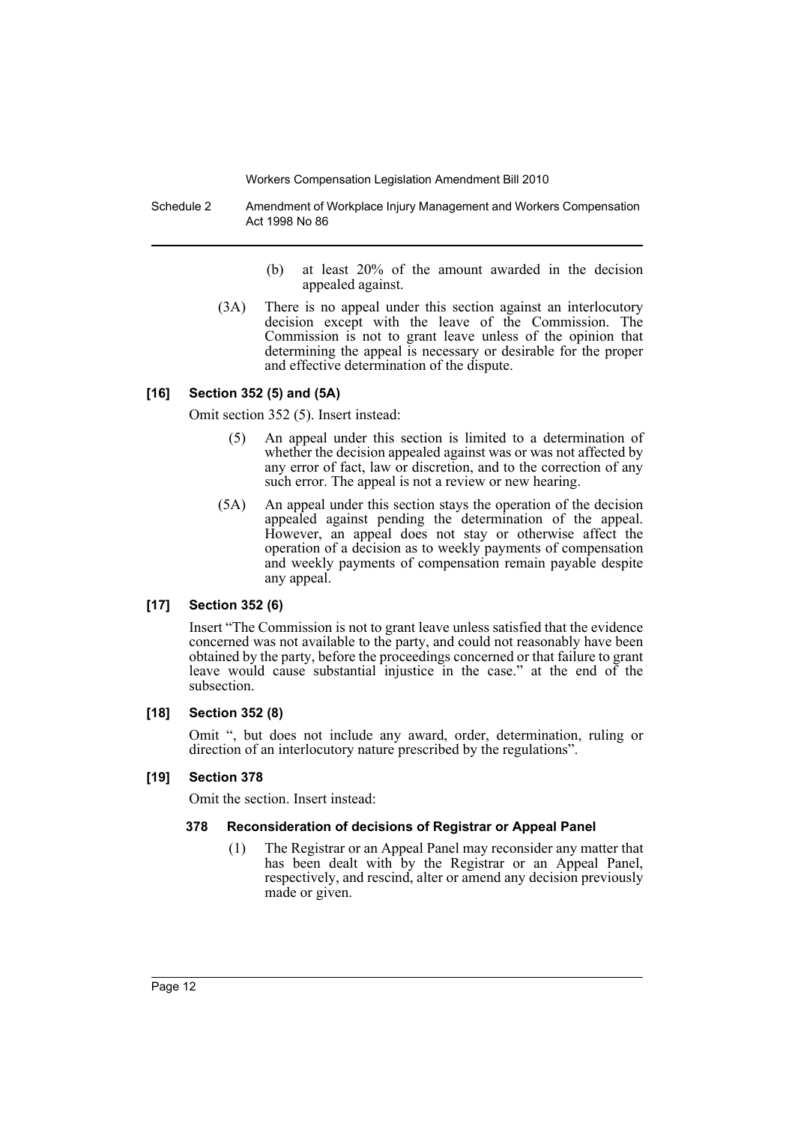Schedule 2 Amendment of Workplace Injury Management and Workers Compensation Act 1998 No 86

- (b) at least 20% of the amount awarded in the decision appealed against.
- (3A) There is no appeal under this section against an interlocutory decision except with the leave of the Commission. The Commission is not to grant leave unless of the opinion that determining the appeal is necessary or desirable for the proper and effective determination of the dispute.

## **[16] Section 352 (5) and (5A)**

Omit section 352 (5). Insert instead:

- (5) An appeal under this section is limited to a determination of whether the decision appealed against was or was not affected by any error of fact, law or discretion, and to the correction of any such error. The appeal is not a review or new hearing.
- (5A) An appeal under this section stays the operation of the decision appealed against pending the determination of the appeal. However, an appeal does not stay or otherwise affect the operation of a decision as to weekly payments of compensation and weekly payments of compensation remain payable despite any appeal.

# **[17] Section 352 (6)**

Insert "The Commission is not to grant leave unless satisfied that the evidence concerned was not available to the party, and could not reasonably have been obtained by the party, before the proceedings concerned or that failure to grant leave would cause substantial injustice in the case." at the end of the subsection.

#### **[18] Section 352 (8)**

Omit ", but does not include any award, order, determination, ruling or direction of an interlocutory nature prescribed by the regulations".

#### **[19] Section 378**

Omit the section. Insert instead:

# **378 Reconsideration of decisions of Registrar or Appeal Panel**

(1) The Registrar or an Appeal Panel may reconsider any matter that has been dealt with by the Registrar or an Appeal Panel, respectively, and rescind, alter or amend any decision previously made or given.